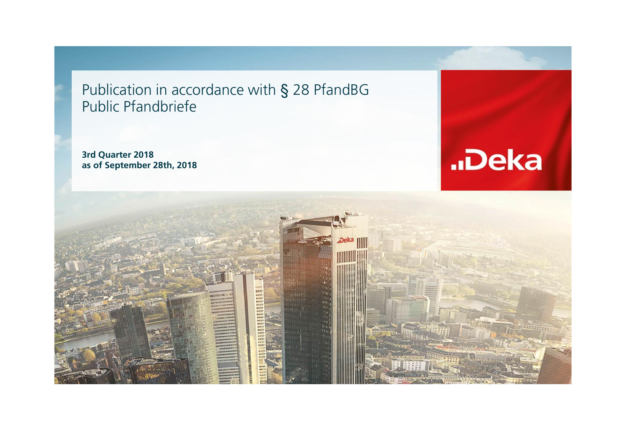Publication in accordance with § 28 PfandBG Public Pfandbriefe

**3rd Quarter 2018 as of September 28th, 2018**



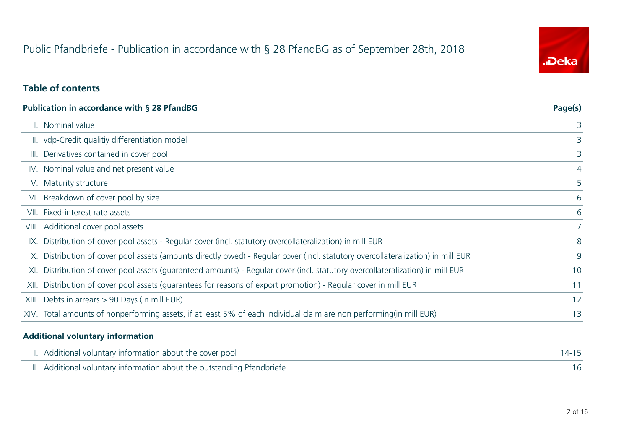# Public Pfandbriefe - Publication in accordance with § 28 PfandBG as of September 28th, 2018

# "Deka

#### **Table of contents**

|       | Publication in accordance with § 28 PfandBG                                                                                      | Page(s)        |
|-------|----------------------------------------------------------------------------------------------------------------------------------|----------------|
|       | . Nominal value                                                                                                                  | 3              |
|       | II. vdp-Credit qualitiy differentiation model                                                                                    | 3              |
| III.  | Derivatives contained in cover pool                                                                                              | 3              |
|       | IV. Nominal value and net present value                                                                                          | 4              |
|       | V. Maturity structure                                                                                                            | 5              |
| VI.   | Breakdown of cover pool by size                                                                                                  | 6              |
| VII.  | Fixed-interest rate assets                                                                                                       | 6              |
|       | VIII. Additional cover pool assets                                                                                               | $\overline{7}$ |
|       | IX. Distribution of cover pool assets - Regular cover (incl. statutory overcollateralization) in mill EUR                        | 8              |
|       | X. Distribution of cover pool assets (amounts directly owed) - Regular cover (incl. statutory overcollateralization) in mill EUR | 9              |
| XI.   | Distribution of cover pool assets (guaranteed amounts) - Regular cover (incl. statutory overcollateralization) in mill EUR       | 10             |
| XII.  | Distribution of cover pool assets (guarantees for reasons of export promotion) - Regular cover in mill EUR                       | 11             |
| XIII. | Debts in arrears > 90 Days (in mill EUR)                                                                                         | 12             |
|       | XIV. Total amounts of nonperforming assets, if at least 5% of each individual claim are non performing(in mill EUR)              | 13             |
|       |                                                                                                                                  |                |

#### **Additional voluntary information**

| I. Additional voluntary information about the cover pool               |  |
|------------------------------------------------------------------------|--|
| II. Additional voluntary information about the outstanding Pfandbriefe |  |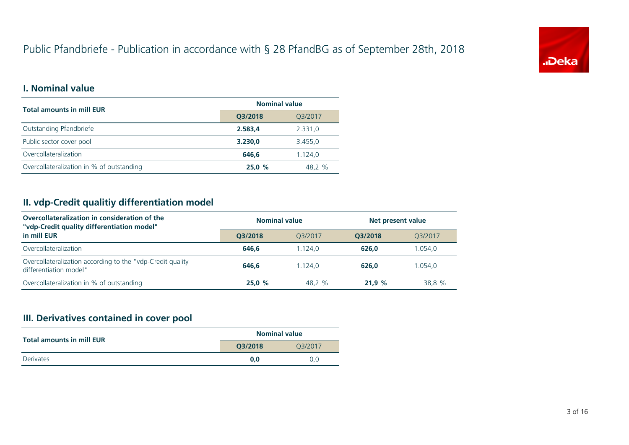# Public Pfandbriefe - Publication in accordance with § 28 PfandBG as of September 28th, 2018



#### **I. Nominal value**

| <b>Total amounts in mill EUR</b>          | <b>Nominal value</b> |                                          |
|-------------------------------------------|----------------------|------------------------------------------|
|                                           | Q3/2018              | Q3/2017<br>2.331,0<br>3.455,0<br>1.124,0 |
| Outstanding Pfandbriefe                   | 2.583,4              |                                          |
| Public sector cover pool                  | 3.230,0              |                                          |
| Overcollateralization                     | 646.6                |                                          |
| Overcollateralization in % of outstanding | 25,0%                | 48.2 %                                   |

#### **II. vdp-Credit qualitiy differentiation model**

| Overcollateralization in consideration of the<br>"vdp-Credit quality differentiation model" | <b>Nominal value</b> |         | Net present value |         |  |
|---------------------------------------------------------------------------------------------|----------------------|---------|-------------------|---------|--|
| in mill EUR                                                                                 | O3/2018              | 03/2017 | O3/2018           | 03/2017 |  |
| Overcollateralization                                                                       | 646.6                | 1.124.0 | 626.0             | 1.054,0 |  |
| Overcollateralization according to the "vdp-Credit quality<br>differentiation model"        | 646.6                | 1.124.0 | 626.0             | 1.054.0 |  |
| Overcollateralization in % of outstanding                                                   | 25.0%                | 48.2 %  | 21.9%             | 38,8 %  |  |

# **III. Derivatives contained in cover pool**

| <b>Total amounts in mill EUR</b> | <b>Nominal value</b> |         |
|----------------------------------|----------------------|---------|
|                                  | O3/2018              | 03/2017 |
| Derivates                        | 0.0                  | 0.0     |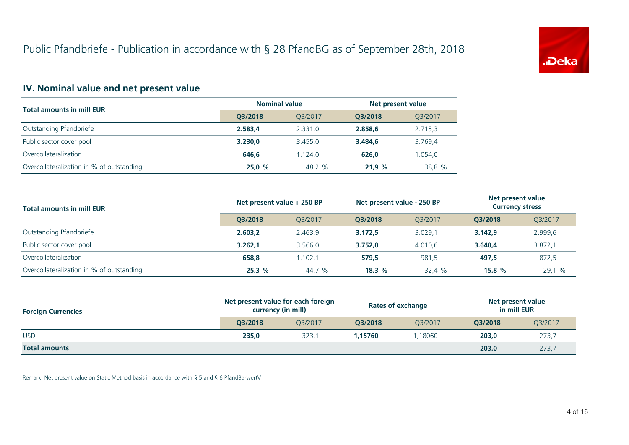

# **IV. Nominal value and net present value**

| <b>Total amounts in mill EUR</b>          | <b>Nominal value</b> |         | Net present value |         |
|-------------------------------------------|----------------------|---------|-------------------|---------|
|                                           | O3/2018              | O3/2017 | O3/2018           | Q3/2017 |
| Outstanding Pfandbriefe                   | 2.583.4              | 2.331.0 | 2.858.6           | 2.715,3 |
| Public sector cover pool                  | 3.230.0              | 3.455.0 | 3.484.6           | 3.769,4 |
| Overcollateralization                     | 646.6                | 1.124.0 | 626.0             | 1.054,0 |
| Overcollateralization in % of outstanding | 25,0%                | 48.2 %  | 21.9%             | 38.8 %  |

| <b>Total amounts in mill EUR</b>          | Net present value + 250 BP |         | Net present value - 250 BP |         | Net present value<br><b>Currency stress</b> |         |
|-------------------------------------------|----------------------------|---------|----------------------------|---------|---------------------------------------------|---------|
|                                           | O3/2018                    | 03/2017 | O3/2018                    | O3/2017 | O3/2018                                     | Q3/2017 |
| Outstanding Pfandbriefe                   | 2.603.2                    | 2.463.9 | 3.172.5                    | 3.029.1 | 3.142.9                                     | 2.999,6 |
| Public sector cover pool                  | 3.262.1                    | 3.566.0 | 3.752.0                    | 4.010.6 | 3.640.4                                     | 3.872,1 |
| Overcollateralization                     | 658,8                      | 1.102.1 | 579,5                      | 981,5   | 497,5                                       | 872,5   |
| Overcollateralization in % of outstanding | 25.3%                      | 44,7 %  | 18.3%                      | 32,4 %  | 15.8%                                       | 29,1 %  |

| <b>Foreign Currencies</b> | Net present value for each foreign<br>currency (in mill) |         | <b>Rates of exchange</b> |         | Net present value<br>in mill EUR |                                             |
|---------------------------|----------------------------------------------------------|---------|--------------------------|---------|----------------------------------|---------------------------------------------|
|                           | O3/2018                                                  | O3/2017 | O3/2018                  | O3/2017 | O3/2018                          | Q3/2017<br>273,7<br>203,0<br>203,0<br>273,7 |
| <b>USD</b>                | 235,0                                                    | 323.7   | 1.15760                  | .18060  |                                  |                                             |
| <b>Total amounts</b>      |                                                          |         |                          |         |                                  |                                             |

Remark: Net present value on Static Method basis in accordance with § 5 and § 6 PfandBarwertV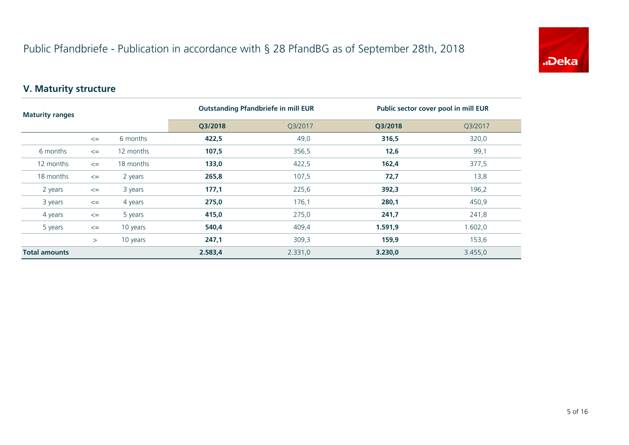

# **V. Maturity structure**

| <b>Maturity ranges</b> |        |           | <b>Outstanding Pfandbriefe in mill EUR</b> |         | Public sector cover pool in mill EUR |         |
|------------------------|--------|-----------|--------------------------------------------|---------|--------------------------------------|---------|
|                        |        |           | Q3/2018                                    | Q3/2017 | Q3/2018                              | Q3/2017 |
|                        | $\leq$ | 6 months  | 422,5                                      | 49,0    | 316,5                                | 320,0   |
| 6 months               | $\leq$ | 12 months | 107,5                                      | 356,5   | 12,6                                 | 99,1    |
| 12 months              | $\leq$ | 18 months | 133,0                                      | 422,5   | 162,4                                | 377,5   |
| 18 months              | $\leq$ | 2 years   | 265,8                                      | 107,5   | 72,7                                 | 13,8    |
| 2 years                | $\leq$ | 3 years   | 177,1                                      | 225,6   | 392,3                                | 196,2   |
| 3 years                | $\leq$ | 4 years   | 275,0                                      | 176,1   | 280,1                                | 450,9   |
| 4 years                | $\leq$ | 5 years   | 415,0                                      | 275,0   | 241,7                                | 241,8   |
| 5 years                | $\leq$ | 10 years  | 540,4                                      | 409,4   | 1.591,9                              | 1.602,0 |
|                        | $\geq$ | 10 years  | 247,1                                      | 309,3   | 159,9                                | 153,6   |
| <b>Total amounts</b>   |        | 2.583,4   | 2.331,0                                    | 3.230,0 | 3.455,0                              |         |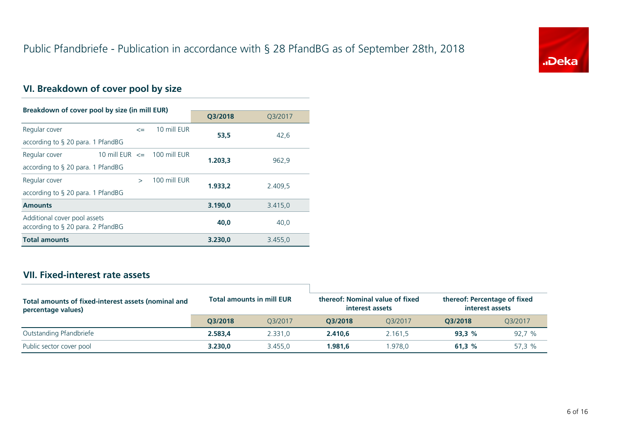

# **VI. Breakdown of cover pool by size**

| Breakdown of cover pool by size (in mill EUR)                        |                                 |              |         |         |
|----------------------------------------------------------------------|---------------------------------|--------------|---------|---------|
|                                                                      |                                 |              | Q3/2018 | Q3/2017 |
| Regular cover                                                        | $\leq$                          | 10 mill FUR  | 53.5    | 42,6    |
| according to $\S$ 20 para. 1 PfandBG                                 |                                 |              |         |         |
| Regular cover                                                        | 10 mill EUR $\leq$ 100 mill EUR |              | 1.203.3 | 962,9   |
| according to $\S$ 20 para. 1 PfandBG                                 |                                 |              |         |         |
| Regular cover                                                        | $\rightarrow$                   | 100 mill EUR | 1.933.2 | 2.409,5 |
| according to $\S$ 20 para. 1 PfandBG                                 |                                 |              |         |         |
| <b>Amounts</b>                                                       |                                 |              | 3.190,0 | 3.415,0 |
| Additional cover pool assets<br>according to $\S$ 20 para. 2 PfandBG |                                 |              | 40.0    | 40,0    |
| <b>Total amounts</b>                                                 |                                 |              | 3.230.0 | 3.455,0 |

# **VII. Fixed-interest rate assets**

| Total amounts of fixed-interest assets (nominal and<br>percentage values) | <b>Total amounts in mill EUR</b> |         |         | thereof: Nominal value of fixed<br>interest assets | thereof: Percentage of fixed<br>interest assets |         |
|---------------------------------------------------------------------------|----------------------------------|---------|---------|----------------------------------------------------|-------------------------------------------------|---------|
|                                                                           | O3/2018                          | O3/2017 | O3/2018 | 03/2017                                            | 03/2018                                         | 03/2017 |
| Outstanding Pfandbriefe                                                   | 2.583,4                          | 2.331.0 | 2.410.6 | 2.161.5                                            | 93.3%                                           | 92,7%   |
| Public sector cover pool                                                  | 3.230.0                          | 3.455.0 | 1.981.6 | .978.0                                             | 61.3 $%$                                        | 57.3 %  |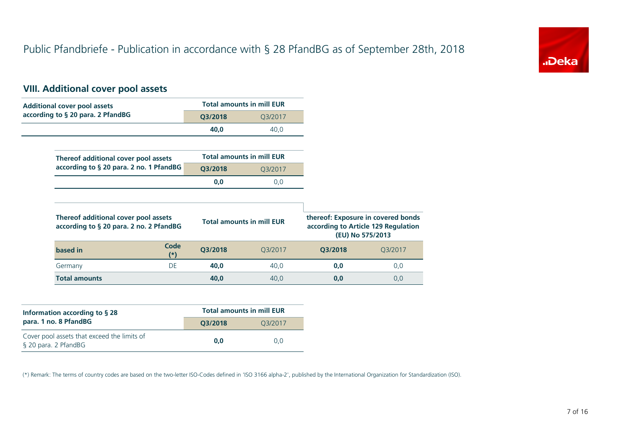

# **VIII. Additional cover pool assets**

| <b>Additional cover pool assets</b>                                             |         | <b>Total amounts in mill EUR</b> |         |                                                                                               |
|---------------------------------------------------------------------------------|---------|----------------------------------|---------|-----------------------------------------------------------------------------------------------|
| according to § 20 para. 2 PfandBG                                               | Q3/2018 | Q3/2017                          |         |                                                                                               |
|                                                                                 | 40,0    | 40,0                             |         |                                                                                               |
|                                                                                 |         |                                  |         |                                                                                               |
| Thereof additional cover pool assets                                            |         | <b>Total amounts in mill EUR</b> |         |                                                                                               |
| according to § 20 para. 2 no. 1 PfandBG                                         | Q3/2018 | Q3/2017                          |         |                                                                                               |
|                                                                                 | 0,0     | 0,0                              |         |                                                                                               |
|                                                                                 |         |                                  |         |                                                                                               |
| Thereof additional cover pool assets<br>according to § 20 para. 2 no. 2 PfandBG |         | <b>Total amounts in mill EUR</b> |         | thereof: Exposure in covered bonds<br>according to Article 129 Regulation<br>(EU) No 575/2013 |
| Code<br>based in<br>$^{(*)}$                                                    | Q3/2018 | Q3/2017                          | Q3/2018 | Q3/2017                                                                                       |
| <b>DE</b><br>Germany                                                            | 40,0    | 40,0                             | 0,0     | 0,0                                                                                           |
| <b>Total amounts</b>                                                            | 40,0    | 40,0                             | 0,0     | 0,0                                                                                           |

| Information according to $\S$ 28                                    | <b>Total amounts in mill EUR</b> |         |  |  |
|---------------------------------------------------------------------|----------------------------------|---------|--|--|
| para. 1 no. 8 PfandBG                                               | O3/2018                          | 03/2017 |  |  |
| Cover pool assets that exceed the limits of<br>§ 20 para. 2 PfandBG | 0.0                              | 0.0     |  |  |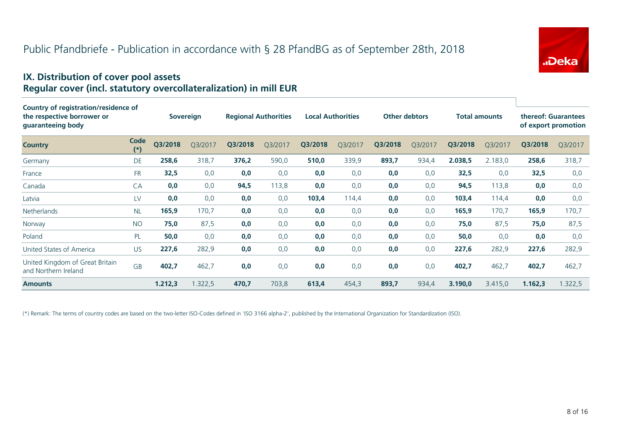

#### **IX. Distribution of cover pool assets Regular cover (incl. statutory overcollateralization) in mill EUR**

| Country of registration/residence of                    |               |         |                  |         |                             |         |                          |         |                      |         |                      |         |                                            |
|---------------------------------------------------------|---------------|---------|------------------|---------|-----------------------------|---------|--------------------------|---------|----------------------|---------|----------------------|---------|--------------------------------------------|
| the respective borrower or<br>guaranteeing body         |               |         | <b>Sovereign</b> |         | <b>Regional Authorities</b> |         | <b>Local Authorities</b> |         | <b>Other debtors</b> |         | <b>Total amounts</b> |         | thereof: Guarantees<br>of export promotion |
| <b>Country</b>                                          | Code<br>$(*)$ | Q3/2018 | Q3/2017          | Q3/2018 | Q3/2017                     | Q3/2018 | Q3/2017                  | Q3/2018 | Q3/2017              | Q3/2018 | Q3/2017              | Q3/2018 | Q3/2017                                    |
| Germany                                                 | <b>DE</b>     | 258,6   | 318,7            | 376,2   | 590,0                       | 510,0   | 339,9                    | 893,7   | 934,4                | 2.038,5 | 2.183,0              | 258,6   | 318,7                                      |
| France                                                  | <b>FR</b>     | 32,5    | 0,0              | 0,0     | 0,0                         | 0,0     | 0,0                      | 0,0     | 0,0                  | 32,5    | 0,0                  | 32,5    | 0,0                                        |
| Canada                                                  | CA            | 0,0     | 0,0              | 94,5    | 113,8                       | 0,0     | 0,0                      | 0,0     | 0,0                  | 94,5    | 113,8                | 0,0     | 0,0                                        |
| Latvia                                                  | LV            | 0,0     | 0,0              | 0,0     | 0,0                         | 103,4   | 114,4                    | 0,0     | 0,0                  | 103,4   | 114,4                | 0,0     | 0,0                                        |
| Netherlands                                             | <b>NL</b>     | 165,9   | 170,7            | 0,0     | 0,0                         | 0,0     | 0,0                      | 0,0     | 0,0                  | 165,9   | 170,7                | 165,9   | 170,7                                      |
| Norway                                                  | <b>NO</b>     | 75,0    | 87,5             | 0,0     | 0,0                         | 0,0     | 0,0                      | 0,0     | 0,0                  | 75,0    | 87,5                 | 75,0    | 87,5                                       |
| Poland                                                  | PL            | 50,0    | 0,0              | 0,0     | 0,0                         | 0,0     | 0,0                      | 0,0     | 0,0                  | 50,0    | 0,0                  | 0,0     | 0,0                                        |
| United States of America                                | <b>US</b>     | 227,6   | 282,9            | 0,0     | 0,0                         | 0,0     | 0,0                      | 0,0     | 0,0                  | 227,6   | 282,9                | 227,6   | 282,9                                      |
| United Kingdom of Great Britain<br>and Northern Ireland | <b>GB</b>     | 402,7   | 462,7            | 0,0     | 0,0                         | 0,0     | 0,0                      | 0,0     | 0,0                  | 402,7   | 462,7                | 402,7   | 462,7                                      |
| <b>Amounts</b>                                          |               | 1.212,3 | 1.322,5          | 470,7   | 703,8                       | 613,4   | 454,3                    | 893,7   | 934,4                | 3.190,0 | 3.415,0              | 1.162,3 | 1.322,5                                    |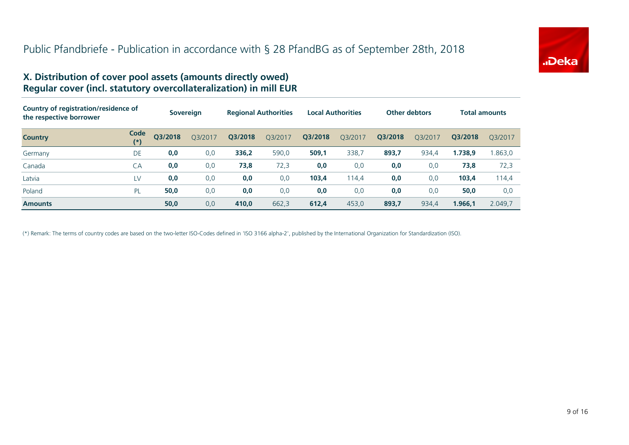

#### **X. Distribution of cover pool assets (amounts directly owed) Regular cover (incl. statutory overcollateralization) in mill EUR**

| Country of registration/residence of<br>the respective borrower |                  |         | <b>Sovereign</b> |         | <b>Regional Authorities</b> | <b>Local Authorities</b> |         |         | <b>Other debtors</b> |         | <b>Total amounts</b> |
|-----------------------------------------------------------------|------------------|---------|------------------|---------|-----------------------------|--------------------------|---------|---------|----------------------|---------|----------------------|
| <b>Country</b>                                                  | Code<br>$^{(*)}$ | Q3/2018 | Q3/2017          | Q3/2018 | Q3/2017                     | Q3/2018                  | Q3/2017 | Q3/2018 | O3/2017              | Q3/2018 | O3/2017              |
| Germany                                                         | DE               | 0,0     | 0,0              | 336,2   | 590,0                       | 509,1                    | 338,7   | 893,7   | 934,4                | 1.738,9 | 1.863,0              |
| Canada                                                          | CA               | 0,0     | 0,0              | 73,8    | 72,3                        | 0,0                      | 0,0     | 0,0     | 0,0                  | 73,8    | 72,3                 |
| Latvia                                                          | LV               | 0,0     | 0,0              | 0,0     | 0,0                         | 103,4                    | 114,4   | 0,0     | 0,0                  | 103,4   | 114,4                |
| Poland                                                          | PL               | 50,0    | 0,0              | 0,0     | 0,0                         | 0,0                      | 0,0     | 0,0     | 0,0                  | 50,0    | 0,0                  |
| <b>Amounts</b>                                                  |                  | 50,0    | 0,0              | 410,0   | 662,3                       | 612,4                    | 453,0   | 893,7   | 934,4                | 1.966,1 | 2.049.7              |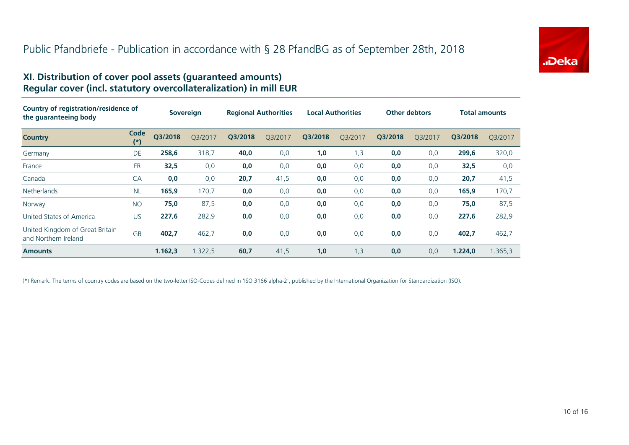

#### **XI. Distribution of cover pool assets (guaranteed amounts) Regular cover (incl. statutory overcollateralization) in mill EUR**

| Country of registration/residence of<br>the quaranteeing body |               | <b>Sovereign</b> |         | <b>Regional Authorities</b> |         | <b>Local Authorities</b> |         | <b>Other debtors</b> |         | <b>Total amounts</b> |         |
|---------------------------------------------------------------|---------------|------------------|---------|-----------------------------|---------|--------------------------|---------|----------------------|---------|----------------------|---------|
| <b>Country</b>                                                | Code<br>$(*)$ | Q3/2018          | Q3/2017 | Q3/2018                     | Q3/2017 | Q3/2018                  | Q3/2017 | Q3/2018              | O3/2017 | Q3/2018              | Q3/2017 |
| Germany                                                       | <b>DE</b>     | 258,6            | 318,7   | 40,0                        | 0,0     | 1,0                      | 1,3     | 0,0                  | 0,0     | 299,6                | 320,0   |
| France                                                        | <b>FR</b>     | 32,5             | 0,0     | 0,0                         | 0,0     | 0,0                      | 0,0     | 0,0                  | 0,0     | 32,5                 | 0,0     |
| Canada                                                        | CA            | 0,0              | 0,0     | 20,7                        | 41,5    | 0,0                      | 0,0     | 0,0                  | 0,0     | 20,7                 | 41,5    |
| <b>Netherlands</b>                                            | <b>NL</b>     | 165,9            | 170,7   | 0,0                         | 0,0     | 0,0                      | 0,0     | 0,0                  | 0,0     | 165,9                | 170,7   |
| Norway                                                        | <b>NO</b>     | 75,0             | 87,5    | 0,0                         | 0,0     | 0,0                      | 0,0     | 0,0                  | 0,0     | 75,0                 | 87,5    |
| United States of America                                      | <b>US</b>     | 227,6            | 282,9   | 0,0                         | 0,0     | 0,0                      | 0,0     | 0,0                  | 0,0     | 227,6                | 282,9   |
| United Kingdom of Great Britain<br>and Northern Ireland       | <b>GB</b>     | 402,7            | 462,7   | 0,0                         | 0,0     | 0,0                      | 0,0     | 0,0                  | 0,0     | 402,7                | 462,7   |
| <b>Amounts</b>                                                |               | 1.162,3          | 1.322,5 | 60,7                        | 41,5    | 1,0                      | 1,3     | 0,0                  | 0,0     | 1.224,0              | 1.365,3 |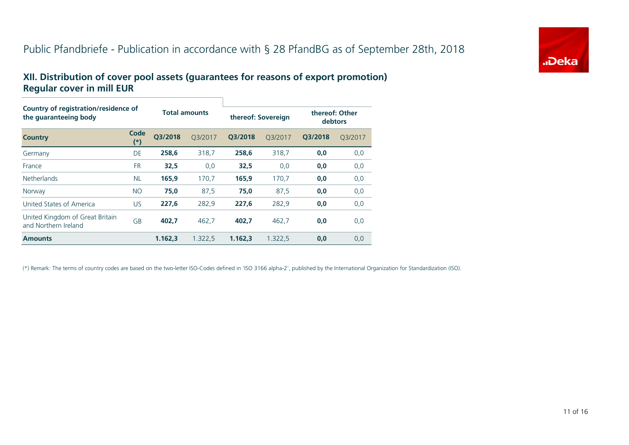# Public Pfandbriefe - Publication in accordance with § 28 PfandBG as of September 28th, 2018



#### **XII. Distribution of cover pool assets (guarantees for reasons of export promotion) Regular cover in mill EUR**

| Country of registration/residence of<br>the quaranteeing body |                   |         | <b>Total amounts</b> |         | thereof: Sovereign |         | thereof: Other<br>debtors |  |  |
|---------------------------------------------------------------|-------------------|---------|----------------------|---------|--------------------|---------|---------------------------|--|--|
| <b>Country</b>                                                | Code<br>$^{\ast}$ | O3/2018 | O3/2017              | O3/2018 | O3/2017            | O3/2018 | Q3/2017                   |  |  |
| Germany                                                       | DE                | 258.6   | 318.7                | 258.6   | 318.7              | 0,0     | 0,0                       |  |  |
| France                                                        | <b>FR</b>         | 32,5    | 0,0                  | 32,5    | 0,0                | 0,0     | 0,0                       |  |  |
| <b>Netherlands</b>                                            | <b>NL</b>         | 165,9   | 170,7                | 165,9   | 170,7              | 0,0     | 0,0                       |  |  |
| Norway                                                        | <b>NO</b>         | 75,0    | 87,5                 | 75,0    | 87,5               | 0,0     | 0,0                       |  |  |
| United States of America                                      | <b>US</b>         | 227,6   | 282,9                | 227,6   | 282,9              | 0,0     | 0,0                       |  |  |
| United Kingdom of Great Britain<br>and Northern Ireland       | GB                | 402.7   | 462,7                | 402.7   | 462,7              | 0,0     | 0,0                       |  |  |
| <b>Amounts</b>                                                |                   | 1.162,3 | 1.322,5              | 1.162.3 | 1.322,5            | 0,0     | 0,0                       |  |  |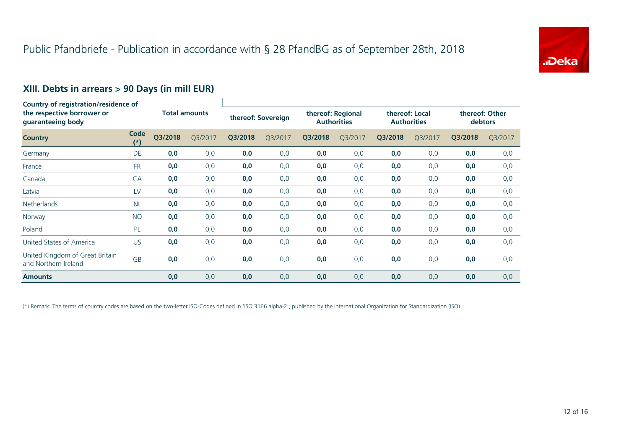

# **XIII. Debts in arrears > 90 Days (in mill EUR)**

| <b>Country of registration/residence of</b><br>the respective borrower or<br>guaranteeing body |               |                      |         |                    |         |                                         |         |                                      |         |                           |         |
|------------------------------------------------------------------------------------------------|---------------|----------------------|---------|--------------------|---------|-----------------------------------------|---------|--------------------------------------|---------|---------------------------|---------|
|                                                                                                |               | <b>Total amounts</b> |         | thereof: Sovereign |         | thereof: Regional<br><b>Authorities</b> |         | thereof: Local<br><b>Authorities</b> |         | thereof: Other<br>debtors |         |
| <b>Country</b>                                                                                 | Code<br>$(*)$ | Q3/2018              | Q3/2017 | Q3/2018            | Q3/2017 | Q3/2018                                 | Q3/2017 | Q3/2018                              | Q3/2017 | Q3/2018                   | Q3/2017 |
| Germany                                                                                        | DE            | 0,0                  | 0,0     | 0,0                | 0,0     | 0,0                                     | 0,0     | 0,0                                  | 0,0     | 0,0                       | 0,0     |
| France                                                                                         | <b>FR</b>     | 0,0                  | 0,0     | 0,0                | 0,0     | 0,0                                     | 0,0     | 0,0                                  | 0,0     | 0,0                       | 0,0     |
| Canada                                                                                         | CA            | 0,0                  | 0,0     | 0,0                | 0,0     | 0,0                                     | 0,0     | 0,0                                  | 0,0     | 0,0                       | 0,0     |
| Latvia                                                                                         | LV            | 0,0                  | 0,0     | 0,0                | 0,0     | 0,0                                     | 0,0     | 0,0                                  | 0,0     | 0,0                       | 0,0     |
| <b>Netherlands</b>                                                                             | <b>NL</b>     | 0,0                  | 0,0     | 0,0                | 0,0     | 0,0                                     | 0,0     | 0,0                                  | 0,0     | 0,0                       | 0,0     |
| Norway                                                                                         | <b>NO</b>     | 0,0                  | 0,0     | 0,0                | 0,0     | 0,0                                     | 0,0     | 0,0                                  | 0,0     | 0,0                       | 0,0     |
| Poland                                                                                         | PL            | 0,0                  | 0,0     | 0,0                | 0,0     | 0,0                                     | 0,0     | 0,0                                  | 0,0     | 0,0                       | 0,0     |
| United States of America                                                                       | <b>US</b>     | 0,0                  | 0,0     | 0,0                | 0,0     | 0,0                                     | 0,0     | 0,0                                  | 0,0     | 0,0                       | 0,0     |
| United Kingdom of Great Britain<br>and Northern Ireland                                        | GB            | 0,0                  | 0,0     | 0,0                | 0,0     | 0,0                                     | 0,0     | 0,0                                  | 0,0     | 0,0                       | 0,0     |
| <b>Amounts</b>                                                                                 |               | 0,0                  | 0,0     | 0,0                | 0,0     | 0,0                                     | 0,0     | 0,0                                  | 0,0     | 0,0                       | 0,0     |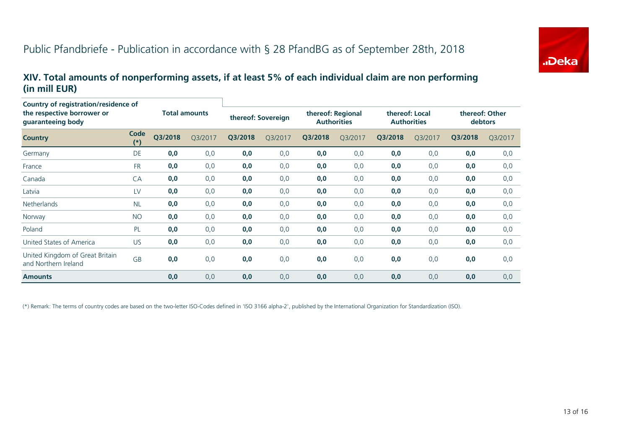

#### **XIV. Total amounts of nonperforming assets, if at least 5% of each individual claim are non performing (in mill EUR)**

| Country of registration/residence of<br>the respective borrower or<br>guaranteeing body |                      |                      |         |                    |         |                                         |         |                                      |         |                           |         |
|-----------------------------------------------------------------------------------------|----------------------|----------------------|---------|--------------------|---------|-----------------------------------------|---------|--------------------------------------|---------|---------------------------|---------|
|                                                                                         |                      | <b>Total amounts</b> |         | thereof: Sovereign |         | thereof: Regional<br><b>Authorities</b> |         | thereof: Local<br><b>Authorities</b> |         | thereof: Other<br>debtors |         |
| <b>Country</b>                                                                          | <b>Code</b><br>$(*)$ | Q3/2018              | Q3/2017 | Q3/2018            | Q3/2017 | Q3/2018                                 | Q3/2017 | Q3/2018                              | Q3/2017 | Q3/2018                   | Q3/2017 |
| Germany                                                                                 | <b>DE</b>            | 0,0                  | 0,0     | 0,0                | 0,0     | 0,0                                     | 0,0     | 0,0                                  | 0,0     | 0,0                       | 0,0     |
| France                                                                                  | <b>FR</b>            | 0,0                  | 0,0     | 0,0                | 0,0     | 0,0                                     | 0,0     | 0,0                                  | 0,0     | 0,0                       | 0,0     |
| Canada                                                                                  | CA                   | 0,0                  | 0,0     | 0,0                | 0,0     | 0,0                                     | 0,0     | 0,0                                  | 0,0     | 0,0                       | 0,0     |
| Latvia                                                                                  | LV                   | 0,0                  | 0,0     | 0,0                | 0,0     | 0,0                                     | 0,0     | 0,0                                  | 0,0     | 0,0                       | 0,0     |
| <b>Netherlands</b>                                                                      | <b>NL</b>            | 0,0                  | 0,0     | 0,0                | 0,0     | 0,0                                     | 0,0     | 0,0                                  | 0,0     | 0,0                       | 0,0     |
| Norway                                                                                  | <b>NO</b>            | 0,0                  | 0,0     | 0,0                | 0,0     | 0,0                                     | 0,0     | 0,0                                  | 0,0     | 0,0                       | 0,0     |
| Poland                                                                                  | PL                   | 0,0                  | 0,0     | 0,0                | 0,0     | 0,0                                     | 0,0     | 0,0                                  | 0,0     | 0,0                       | 0,0     |
| United States of America                                                                | <b>US</b>            | 0,0                  | 0,0     | 0,0                | 0,0     | 0,0                                     | 0,0     | 0,0                                  | 0,0     | 0,0                       | 0,0     |
| United Kingdom of Great Britain<br>and Northern Ireland                                 | GB                   | 0,0                  | 0,0     | 0,0                | 0,0     | 0,0                                     | 0,0     | 0,0                                  | 0,0     | 0,0                       | 0,0     |
| <b>Amounts</b>                                                                          |                      | 0,0                  | 0,0     | 0,0                | 0,0     | 0,0                                     | 0,0     | 0,0                                  | 0,0     | 0,0                       | 0,0     |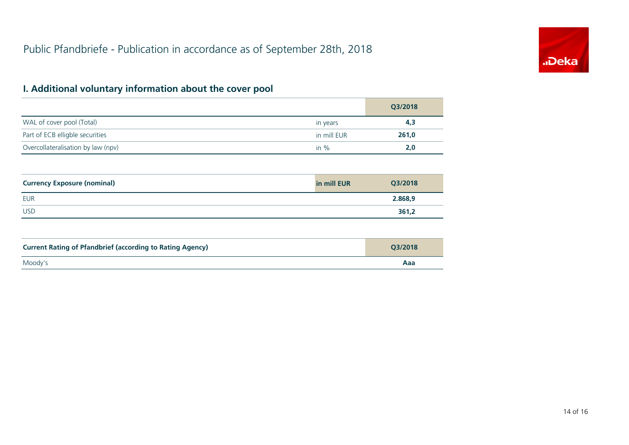

# **I. Additional voluntary information about the cover pool**

|                                    |             | Q3/2018 |
|------------------------------------|-------------|---------|
| WAL of cover pool (Total)          | in years    | 4,3     |
| Part of ECB elligble securities    | in mill EUR | 261,0   |
| Overcollateralisation by law (npv) | in $\%$     | 2,0     |

| <b>Currency Exposure (nominal)</b> | in mill EUR | Q3/2018 |
|------------------------------------|-------------|---------|
| <b>EUR</b>                         |             | 2.868,9 |
| <b>USD</b>                         |             | 361,2   |

| <b>Current Rating of Pfandbrief (according to Rating Agency)</b> | 03/2018 |
|------------------------------------------------------------------|---------|
| Moody's                                                          | Aaa     |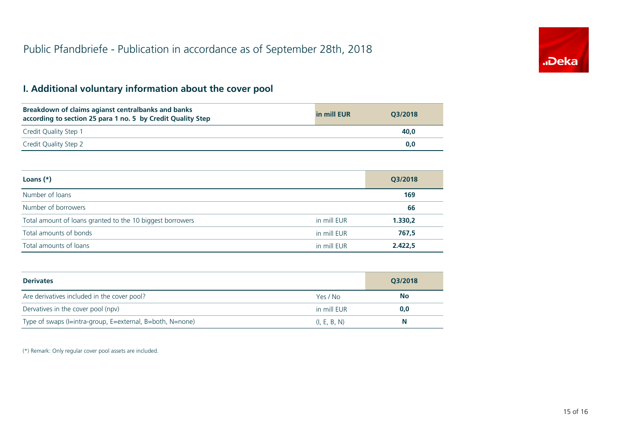

# **I. Additional voluntary information about the cover pool**

| Breakdown of claims agianst centralbanks and banks<br>according to section 25 para 1 no. 5 by Credit Quality Step | in mill EUR | O3/2018 |
|-------------------------------------------------------------------------------------------------------------------|-------------|---------|
| Credit Quality Step 1                                                                                             |             | 40.0    |
| Credit Quality Step 2                                                                                             |             | 0.0     |

| Loans $(*)$                                               |             | Q3/2018 |
|-----------------------------------------------------------|-------------|---------|
| Number of loans                                           |             | 169     |
| Number of borrowers                                       |             | 66      |
| Total amount of loans granted to the 10 biggest borrowers | in mill EUR | 1.330,2 |
| Total amounts of bonds                                    | in mill EUR | 767,5   |
| Total amounts of loans                                    | in mill EUR | 2.422.5 |

| <b>Derivates</b>                                          |              | Q3/2018   |  |
|-----------------------------------------------------------|--------------|-----------|--|
| Are derivatives included in the cover pool?               | Yes / No     | <b>No</b> |  |
| Dervatives in the cover pool (npv)                        | in mill EUR  | 0,0       |  |
| Type of swaps (I=intra-group, E=external, B=both, N=none) | (I, E, B, N) | N         |  |

(\*) Remark: Only regular cover pool assets are included.